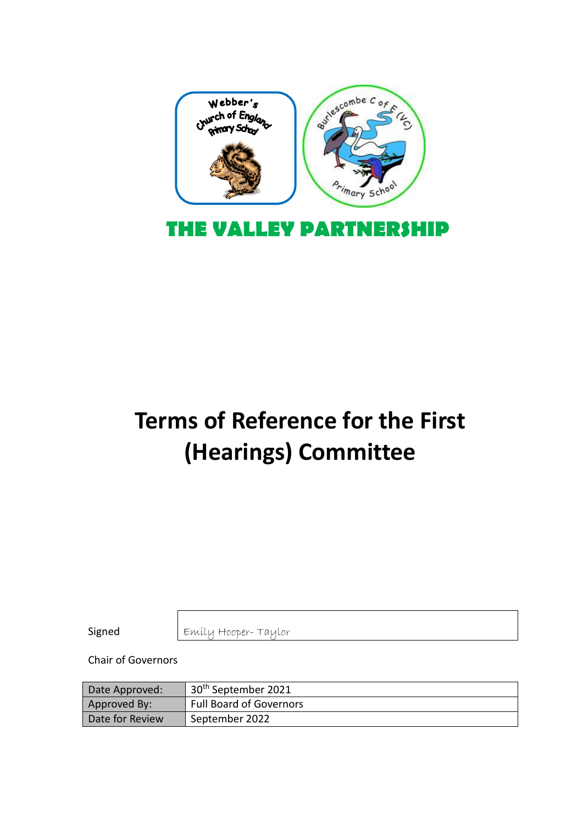

# **Terms of Reference for the First (Hearings) Committee**

Signed

Emily Hooper- Taylor

Chair of Governors

| Date Approved:  | 30 <sup>th</sup> September 2021 |
|-----------------|---------------------------------|
| Approved By:    | <b>Full Board of Governors</b>  |
| Date for Review | September 2022                  |